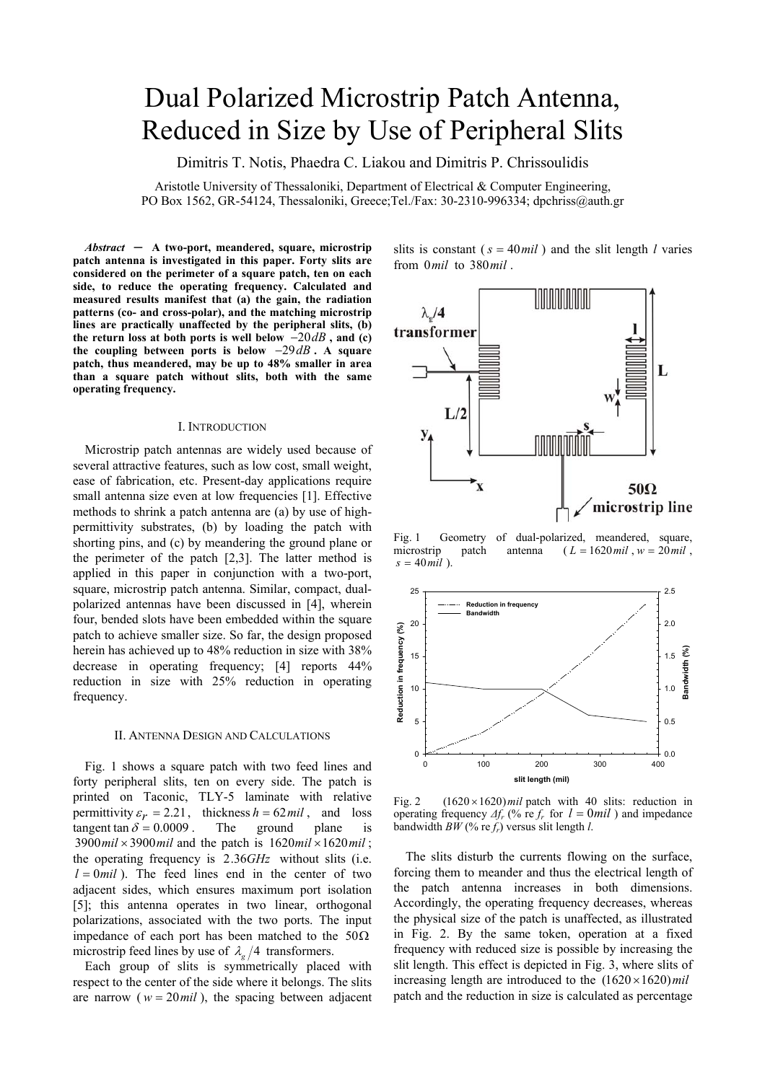# Dual Polarized Microstrip Patch Antenna, Reduced in Size by Use of Peripheral Slits

Dimitris T. Notis, Phaedra C. Liakou and Dimitris P. Chrissoulidis

Aristotle University of Thessaloniki, Department of Electrical & Computer Engineering, PO Box 1562, GR-54124, Thessaloniki, Greece;Tel./Fax: 30-2310-996334; dpchriss@auth.gr

*Abstract ─* **A two-port, meandered, square, microstrip patch antenna is investigated in this paper. Forty slits are considered on the perimeter of a square patch, ten on each side, to reduce the operating frequency. Calculated and measured results manifest that (a) the gain, the radiation patterns (co- and cross-polar), and the matching microstrip lines are practically unaffected by the peripheral slits, (b) the return loss at both ports is well below** −20*dB* **, and (c) the coupling between ports is below** −29*dB* **. A square patch, thus meandered, may be up to 48% smaller in area than a square patch without slits, both with the same operating frequency.**

### Ι. INTRODUCTION

Microstrip patch antennas are widely used because of several attractive features, such as low cost, small weight, ease of fabrication, etc. Present-day applications require small antenna size even at low frequencies [1]. Effective methods to shrink a patch antenna are (a) by use of highpermittivity substrates, (b) by loading the patch with shorting pins, and (c) by meandering the ground plane or the perimeter of the patch [2,3]. The latter method is applied in this paper in conjunction with a two-port, square, microstrip patch antenna. Similar, compact, dualpolarized antennas have been discussed in [4], wherein four, bended slots have been embedded within the square patch to achieve smaller size. So far, the design proposed herein has achieved up to 48% reduction in size with 38% decrease in operating frequency; [4] reports 44% reduction in size with 25% reduction in operating frequency.

## ΙI. ANTENNA DESIGN AND CALCULATIONS

Fig. 1 shows a square patch with two feed lines and forty peripheral slits, ten on every side. The patch is printed on Taconic, TLY-5 laminate with relative permittivity  $\varepsilon_r = 2.21$ , thickness  $h = 62 mil$ , and loss tangent tan  $\delta = 0.0009$ . The ground plane is tangent tan  $\delta = 0.0009$ .  $3900$  *mil*  $\times$  3900 *mil* and the patch is  $1620$  *mil*  $\times$  1620 *mil*  $\times$ the operating frequency is 2.36*GHz* without slits (i.e.  $l = 0$ *mil*). The feed lines end in the center of two adjacent sides, which ensures maximum port isolation [5]; this antenna operates in two linear, orthogonal polarizations, associated with the two ports. The input impedance of each port has been matched to the  $50\Omega$ microstrip feed lines by use of  $\lambda_{\varphi}/4$  transformers.

Each group of slits is symmetrically placed with respect to the center of the side where it belongs. The slits are narrow ( $w = 20$  mil), the spacing between adjacent slits is constant ( $s = 40$ *mil*) and the slit length *l* varies from 0*mil* to 380*mil* .



Fig. 1 Geometry of dual-polarized, meandered, square, microstrip patch antenna  $(L = 1620 \text{ mil}, w = 20 \text{ mil})$ ,  $s = 40$ *mil*).



Fig. 2  $(1620 \times 1620)$  *mil* patch with 40 slits: reduction in operating frequency  $\Delta f_r$  (% re  $f_r$  for  $l = 0$  *mil*) and impedance bandwidth  $B\hat{W}$  (% re $f_r$ ) versus slit length *l*.

The slits disturb the currents flowing on the surface, forcing them to meander and thus the electrical length of the patch antenna increases in both dimensions. Accordingly, the operating frequency decreases, whereas the physical size of the patch is unaffected, as illustrated in Fig. 2. By the same token, operation at a fixed frequency with reduced size is possible by increasing the slit length. This effect is depicted in Fig. 3, where slits of increasing length are introduced to the  $(1620 \times 1620)$  mil patch and the reduction in size is calculated as percentage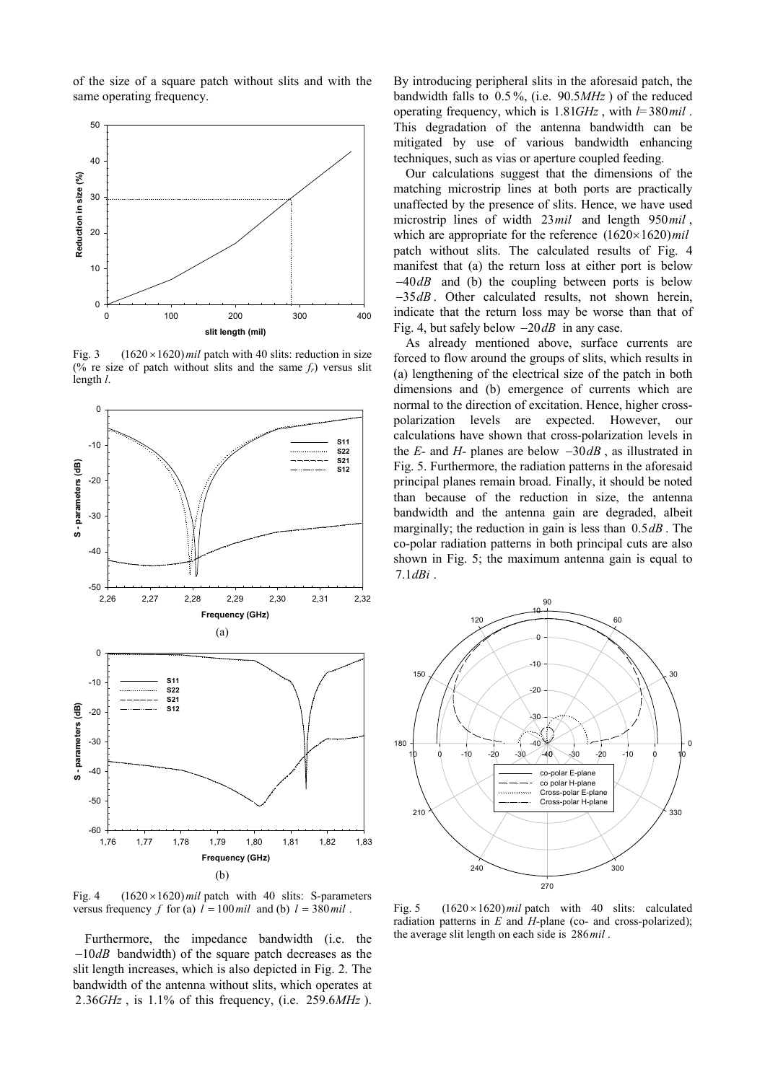of the size of a square patch without slits and with the same operating frequency.



Fig. 3  $(1620 \times 1620)$  *mil* patch with 40 slits: reduction in size (% re size of patch without slits and the same  $f_r$ ) versus slit length *l*.



Fig. 4  $(1620 \times 1620)$  *mil* patch with 40 slits: S-parameters versus frequency *f* for (a)  $l = 100$  mil and (b)  $l = 380$  mil.

Furthermore, the impedance bandwidth (i.e. the −10*dB* bandwidth) of the square patch decreases as the slit length increases, which is also depicted in Fig. 2. The bandwidth of the antenna without slits, which operates at 2.36*GHz* , is 1.1% of this frequency, (i.e. 259.6*MHz* ). By introducing peripheral slits in the aforesaid patch, the bandwidth falls to 0.5 %, (i.e. 90.5*MHz* ) of the reduced operating frequency, which is 1.81*GHz* , with *l*= 380*mil* . This degradation of the antenna bandwidth can be mitigated by use of various bandwidth enhancing techniques, such as vias or aperture coupled feeding.

Our calculations suggest that the dimensions of the matching microstrip lines at both ports are practically unaffected by the presence of slits. Hence, we have used microstrip lines of width 23*mil* and length 950*mil* , which are appropriate for the reference  $(1620 \times 1620)$  mil patch without slits. The calculated results of Fig. 4 manifest that (a) the return loss at either port is below −40*dB* and (b) the coupling between ports is below −35*dB* . Other calculated results, not shown herein, indicate that the return loss may be worse than that of Fig. 4, but safely below −20*dB* in any case.

As already mentioned above, surface currents are forced to flow around the groups of slits, which results in (a) lengthening of the electrical size of the patch in both dimensions and (b) emergence of currents which are normal to the direction of excitation. Hence, higher crosspolarization levels are expected. However, our calculations have shown that cross-polarization levels in the *E-* and *H-* planes are below −30*dB* , as illustrated in Fig. 5. Furthermore, the radiation patterns in the aforesaid principal planes remain broad. Finally, it should be noted than because of the reduction in size, the antenna bandwidth and the antenna gain are degraded, albeit marginally; the reduction in gain is less than 0.5*dB* . The co-polar radiation patterns in both principal cuts are also shown in Fig. 5; the maximum antenna gain is equal to 7.1*dBi* .



Fig. 5  $(1620 \times 1620)$  *mil* patch with 40 slits: calculated radiation patterns in *E* and *H*-plane (co- and cross-polarized); the average slit length on each side is 286*mil* .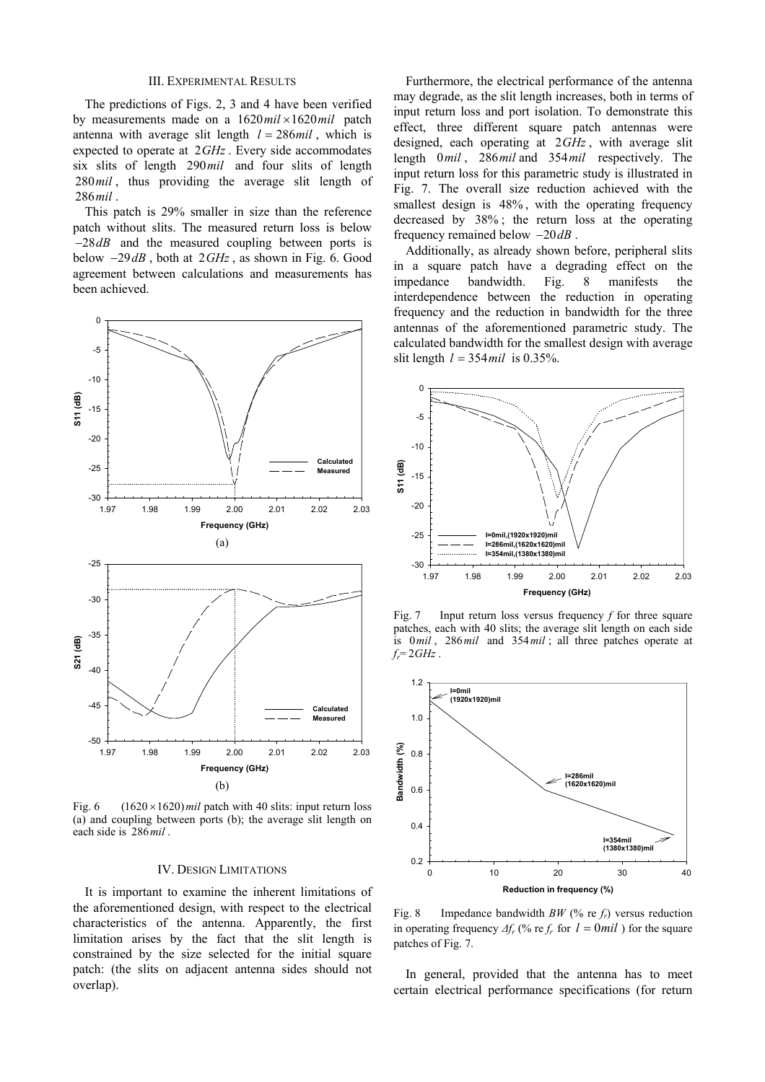## IΙI. EXPERIMENTAL RESULTS

The predictions of Figs. 2, 3 and 4 have been verified by measurements made on a  $1620$   $mil \times 1620$   $mil$  patch antenna with average slit length  $l = 286$  mil, which is expected to operate at 2*GHz* . Every side accommodates six slits of length 290*mil* and four slits of length 280*mil* , thus providing the average slit length of 286*mil* .

This patch is 29% smaller in size than the reference patch without slits. The measured return loss is below −28*dB* and the measured coupling between ports is below −29*dB* , both at 2*GHz* , as shown in Fig. 6. Good agreement between calculations and measurements has been achieved.



Fig. 6  $(1620 \times 1620)$  *mil* patch with 40 slits: input return loss (a) and coupling between ports (b); the average slit length on each side is 286*mil* .

#### IV. DESIGN LIMITATIONS

It is important to examine the inherent limitations of the aforementioned design, with respect to the electrical characteristics of the antenna. Apparently, the first limitation arises by the fact that the slit length is constrained by the size selected for the initial square patch: (the slits on adjacent antenna sides should not overlap).

Furthermore, the electrical performance of the antenna may degrade, as the slit length increases, both in terms of input return loss and port isolation. To demonstrate this effect, three different square patch antennas were designed, each operating at 2*GHz* , with average slit length 0*mil* , 286*mil* and 354*mil* respectively. The input return loss for this parametric study is illustrated in Fig. 7. The overall size reduction achieved with the smallest design is 48% , with the operating frequency decreased by 38% ; the return loss at the operating frequency remained below −20*dB* .

Additionally, as already shown before, peripheral slits in a square patch have a degrading effect on the impedance bandwidth. Fig. 8 manifests the interdependence between the reduction in operating frequency and the reduction in bandwidth for the three antennas of the aforementioned parametric study. The calculated bandwidth for the smallest design with average slit length  $l = 354$  *mil* is 0.35%.



Fig. 7 Input return loss versus frequency *f* for three square patches, each with 40 slits; the average slit length on each side is 0*mil* , 286*mil* and 354*mil* ; all three patches operate at  $f_r = 2GHz$ .



Fig. 8 Impedance bandwidth  $BW$  (% re  $f_r$ ) versus reduction in operating frequency  $\Delta f_r$  (% re  $f_r$  for  $l = 0$  *mil*) for the square patches of Fig. 7.

In general, provided that the antenna has to meet certain electrical performance specifications (for return